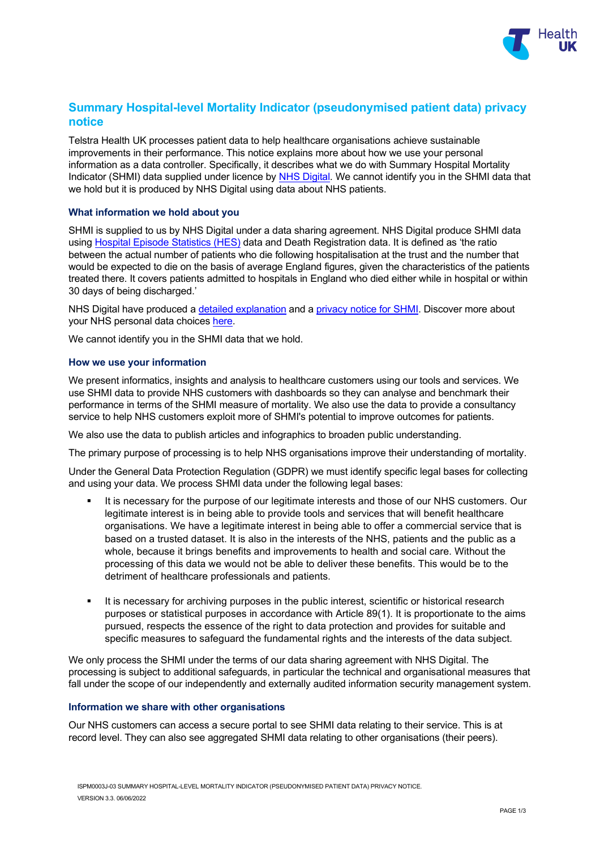

# **Summary Hospital-level Mortality Indicator (pseudonymised patient data) privacy notice**

Telstra Health UK processes patient data to help healthcare organisations achieve sustainable improvements in their performance. This notice explains more about how we use your personal information as a data controller. Specifically, it describes what we do with Summary Hospital Mortality Indicator (SHMI) data supplied under licence by [NHS Digital.](https://digital.nhs.uk/home) We cannot identify you in the SHMI data that we hold but it is produced by NHS Digital using data about NHS patients.

## **What information we hold about you**

SHMI is supplied to us by NHS Digital under a data sharing agreement. NHS Digital produce SHMI data using [Hospital Episode Statistics \(HES\)](https://digital.nhs.uk/about-nhs-digital/our-work/keeping-patient-data-safe/gdpr/gdpr-register/hospital-episode-statistics-gdpr/hospital-episode-statistics-hes-gdpr-information) data and Death Registration data. It is defined as 'the ratio between the actual number of patients who die following hospitalisation at the trust and the number that would be expected to die on the basis of average England figures, given the characteristics of the patients treated there. It covers patients admitted to hospitals in England who died either while in hospital or within 30 days of being discharged.'

NHS Digital have produced a [detailed explanation](https://digital.nhs.uk/data-and-information/publications/ci-hub/summary-hospital-level-mortality-indicator-shmi) and a [privacy notice for SHMI.](https://digital.nhs.uk/about-nhs-digital/our-work/keeping-patient-data-safe/gdpr/gdpr-register/summary-hospital-level-mortality-indicator-shmi-data) Discover more about your NHS personal data choices [here.](https://www.nhs.uk/your-nhs-data-matters/manage-your-choice/)

We cannot identify you in the SHMI data that we hold.

## **How we use your information**

We present informatics, insights and analysis to healthcare customers using our tools and services. We use SHMI data to provide NHS customers with dashboards so they can analyse and benchmark their performance in terms of the SHMI measure of mortality. We also use the data to provide a consultancy service to help NHS customers exploit more of SHMI's potential to improve outcomes for patients.

We also use the data to publish articles and infographics to broaden public understanding.

The primary purpose of processing is to help NHS organisations improve their understanding of mortality.

Under the General Data Protection Regulation (GDPR) we must identify specific legal bases for collecting and using your data. We process SHMI data under the following legal bases:

- It is necessary for the purpose of our legitimate interests and those of our NHS customers. Our legitimate interest is in being able to provide tools and services that will benefit healthcare organisations. We have a legitimate interest in being able to offer a commercial service that is based on a trusted dataset. It is also in the interests of the NHS, patients and the public as a whole, because it brings benefits and improvements to health and social care. Without the processing of this data we would not be able to deliver these benefits. This would be to the detriment of healthcare professionals and patients.
- It is necessary for archiving purposes in the public interest, scientific or historical research purposes or statistical purposes in accordance with Article 89(1). It is proportionate to the aims pursued, respects the essence of the right to data protection and provides for suitable and specific measures to safeguard the fundamental rights and the interests of the data subject.

We only process the SHMI under the terms of our data sharing agreement with NHS Digital. The processing is subject to additional safeguards, in particular the technical and organisational measures that fall under the scope of our independently and externally audited information security management system.

## **Information we share with other organisations**

Our NHS customers can access a secure portal to see SHMI data relating to their service. This is at record level. They can also see aggregated SHMI data relating to other organisations (their peers).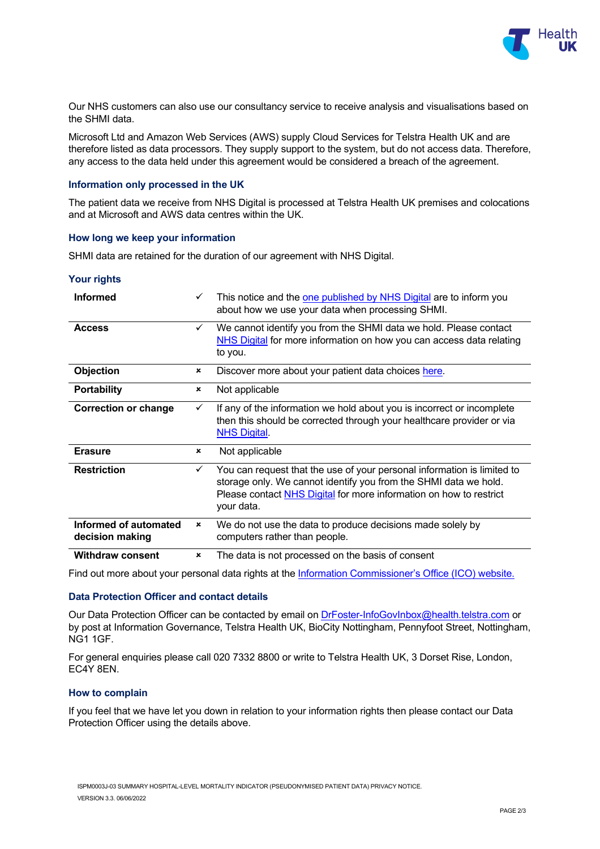

Our NHS customers can also use our consultancy service to receive analysis and visualisations based on the SHMI data.

Microsoft Ltd and Amazon Web Services (AWS) supply Cloud Services for Telstra Health UK and are therefore listed as data processors. They supply support to the system, but do not access data. Therefore, any access to the data held under this agreement would be considered a breach of the agreement.

### **Information only processed in the UK**

The patient data we receive from NHS Digital is processed at Telstra Health UK premises and colocations and at Microsoft and AWS data centres within the UK.

#### **How long we keep your information**

SHMI data are retained for the duration of our agreement with NHS Digital.

#### **Your rights**

| <b>Informed</b>                          | $\checkmark$              | This notice and the one published by NHS Digital are to inform you<br>about how we use your data when processing SHMI.                                                                                                          |
|------------------------------------------|---------------------------|---------------------------------------------------------------------------------------------------------------------------------------------------------------------------------------------------------------------------------|
| <b>Access</b>                            | $\checkmark$              | We cannot identify you from the SHMI data we hold. Please contact<br>NHS Digital for more information on how you can access data relating<br>to you.                                                                            |
| Objection                                | $\pmb{\times}$            | Discover more about your patient data choices here.                                                                                                                                                                             |
| <b>Portability</b>                       | $\pmb{\times}$            | Not applicable                                                                                                                                                                                                                  |
| <b>Correction or change</b>              | $\checkmark$              | If any of the information we hold about you is incorrect or incomplete<br>then this should be corrected through your healthcare provider or via<br><b>NHS Digital.</b>                                                          |
| <b>Erasure</b>                           | $\pmb{\times}$            | Not applicable                                                                                                                                                                                                                  |
| <b>Restriction</b>                       | $\checkmark$              | You can request that the use of your personal information is limited to<br>storage only. We cannot identify you from the SHMI data we hold.<br>Please contact NHS Digital for more information on how to restrict<br>your data. |
| Informed of automated<br>decision making | $\boldsymbol{\mathsf{x}}$ | We do not use the data to produce decisions made solely by<br>computers rather than people.                                                                                                                                     |
| <b>Withdraw consent</b>                  | $\mathbf x$               | The data is not processed on the basis of consent                                                                                                                                                                               |

Find out more about your personal data rights at th[e Information Commissioner's Office \(ICO\) website.](https://ico.org.uk/your-data-matters/)

#### **Data Protection Officer and contact details**

Our Data Protection Officer can be contacted by email on [DrFoster-InfoGovInbox@health.telstra.com](mailto:DrFoster-InfoGovInbox@health.telstra.com) or by post at Information Governance, Telstra Health UK, BioCity Nottingham, Pennyfoot Street, Nottingham, NG1 1GF.

For general enquiries please call 020 7332 8800 or write to Telstra Health UK, 3 Dorset Rise, London, EC4Y 8EN.

#### **How to complain**

If you feel that we have let you down in relation to your information rights then please contact our Data Protection Officer using the details above.